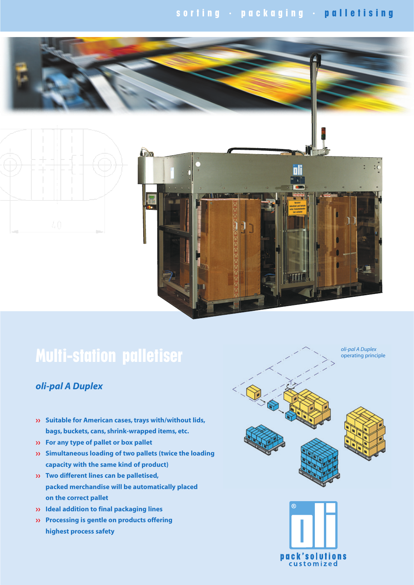# **s o r t i n g · p a c k a g i n g · p a l l e t i s i n g**





# **Multi-station palletiser**

## *oli-pal A Duplex*

- **Suitable for American cases, trays with/without lids, bags, buckets, cans, shrink-wrapped items, etc.**
- **For any type of pallet or box pallet**
- **Simultaneous loading of two pallets (twice the loading capacity with the same kind of product)**
- **Two different lines can be palletised, packed merchandise will be automatically placed on the correct pallet**
- **Ideal addition to final packaging lines**
- **Processing is gentle on products offering highest process safety**



*oli-pal A Duplex* operating principle